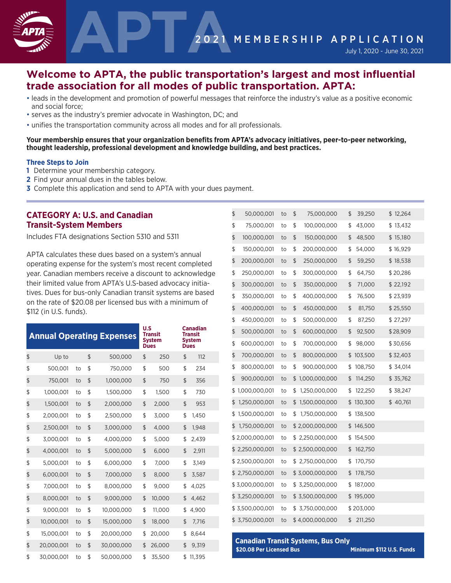

# **Welcome to APTA, the public transportation's largest and most influential trade association for all modes of public transportation. APTA:**

- leads in the development and promotion of powerful messages that reinforce the industry's value as a positive economic and social force;
- serves as the industry's premier advocate in Washington, DC; and
- unifies the transportation community across all modes and for all professionals.

#### **Your membership ensures that your organization benefits from APTA's advocacy initiatives, peer-to-peer networking, thought leadership, professional development and knowledge building, and best practices.**

#### **Three Steps to Join**

- **1** Determine your membership category.
- **2** Find your annual dues in the tables below.
- **3** Complete this application and send to APTA with your dues payment.

# **CATEGORY A: U.S. and Canadian Transit-System Members**

Includes FTA designations Section 5310 and 5311

APTA calculates these dues based on a system's annual operating expense for the system's most recent completed year. Canadian members receive a discount to acknowledge their limited value from APTA's U.S-based advocacy initiatives. Dues for bus-only Canadian transit systems are based on the rate of \$20.08 per licensed bus with a minimum of \$112 (in U.S. funds).

|                  |    |                | <b>Annual Operating Expenses</b> | U.S | <b>Transit</b><br><b>System</b><br><b>Dues</b> | <b>Canadian</b><br><b>Transit</b><br><b>System</b><br><b>Dues</b> |
|------------------|----|----------------|----------------------------------|-----|------------------------------------------------|-------------------------------------------------------------------|
| \$<br>Up to      |    | \$             | 500,000                          | \$  | 250                                            | \$<br>112                                                         |
| \$<br>500,001    | to | \$             | 750,000                          | \$  | 500                                            | \$<br>234                                                         |
| \$<br>750,001    | to | $\mathfrak{L}$ | 1,000,000                        | \$  | 750                                            | \$<br>356                                                         |
| \$<br>1,000,001  | to | \$             | 1,500,000                        | \$  | 1,500                                          | \$<br>730                                                         |
| \$<br>1,500,001  | to | \$             | 2,000,000                        | \$  | 2,000                                          | \$<br>953                                                         |
| \$<br>2,000,001  | to | \$             | 2,500,000                        | \$  | 3,000                                          | \$<br>1,450                                                       |
| \$<br>2,500,001  | to | \$             | 3,000,000                        | \$  | 4,000                                          | \$<br>1.948                                                       |
| \$<br>3,000,001  | to | \$             | 4,000,000                        | \$  | 5.000                                          | \$<br>2.439                                                       |
| \$<br>4,000,001  | to | \$             | 5,000,000                        | \$  | 6,000                                          | \$<br>2,911                                                       |
| \$<br>5,000,001  | to | \$             | 6,000,000                        | \$  | 7,000                                          | \$<br>3,149                                                       |
| \$<br>6,000,001  | to | \$             | 7,000,000                        | \$  | 8,000                                          | \$<br>3,587                                                       |
| \$<br>7,000,001  | to | \$             | 8,000,000                        | \$  | 9,000                                          | \$<br>4,025                                                       |
| \$<br>8,000,001  | to | \$             | 9,000,000                        | \$  | 10.000                                         | \$<br>4.462                                                       |
| \$<br>9,000,001  | to | \$             | 10,000,000                       | \$  | 11,000                                         | \$<br>4,900                                                       |
| \$<br>10,000,001 | to | \$             | 15,000,000                       | \$  | 18,000                                         | \$<br>7.716                                                       |
| \$<br>15,000,001 | to | \$             | 20,000,000                       | \$  | 20,000                                         | \$<br>8.644                                                       |
| \$<br>20,000,001 | to | \$             | 30,000,000                       | \$  | 26,000                                         | \$<br>9,319                                                       |
| \$<br>30,000,001 | to | \$             | 50,000,000                       | \$  | 35,500                                         | \$<br>11.395                                                      |

| \$<br>50,000,001    | to | \$<br>75,000,000    | \$<br>39,250  | \$12,264  |
|---------------------|----|---------------------|---------------|-----------|
| \$<br>75,000,001    | to | \$<br>100,000,000   | \$<br>43,000  | \$13,432  |
| \$<br>100,000,001   | to | \$<br>150,000,000   | \$<br>48,500  | \$15,180  |
| \$<br>150,000,001   | to | \$<br>200,000,000   | \$<br>54,000  | \$16,929  |
| \$<br>200,000,001   | to | \$<br>250,000,000   | \$<br>59,250  | \$18,538  |
| \$<br>250,000,001   | to | \$<br>300,000,000   | \$<br>64,750  | \$20,286  |
| \$<br>300,000,001   | to | \$<br>350,000,000   | \$<br>71,000  | \$22,192  |
| \$<br>350,000,001   | to | \$<br>400,000,000   | \$<br>76,500  | \$23,939  |
| \$<br>400,000,001   | to | \$<br>450,000,000   | \$<br>81,750  | \$25,550  |
| \$<br>450,000,001   | to | \$<br>500,000,000   | \$<br>87,250  | \$27,297  |
| \$<br>500,000,001   | to | \$<br>600,000,000   | \$<br>92,500  | \$28,909  |
| \$<br>600,000,001   | to | \$<br>700,000,000   | \$<br>98,000  | \$30,656  |
| \$<br>700,000,001   | to | \$<br>800,000,000   | \$<br>103,500 | \$32,403  |
| \$<br>800,000,001   | to | \$<br>900,000,000   | \$<br>108,750 | \$ 34,014 |
| \$<br>900,000,001   | to | \$<br>1,000,000,000 | \$<br>114,250 | \$35,762  |
| \$<br>1,000,000,001 | to | \$<br>1,250,000,000 | \$<br>122,250 | \$38,247  |
| \$<br>1,250,000,001 | to | \$<br>1,500,000,000 | \$<br>130,300 | \$40,761  |
| \$<br>1,500,000,001 | to | \$<br>1,750,000,000 | \$<br>138,500 |           |
| \$<br>1,750,000,001 | to | \$2,000,000,000     | \$<br>146,500 |           |
| \$2,000,000,001     | to | \$<br>2,250,000,000 | \$<br>154,500 |           |
| \$<br>2,250,000,001 | to | \$2,500,000,000     | \$<br>162,750 |           |
| \$2,500,000,001     | to | \$<br>2,750,000,000 | \$<br>170,750 |           |
| \$<br>2,750,000,001 | to | \$3,000,000,000     | \$<br>178,750 |           |
| \$3,000,000,001     | to | \$3,250,000,000     | \$<br>187,000 |           |
| \$<br>3,250,000,001 | to | \$ 3,500,000,000    | \$<br>195,000 |           |
| \$3,500,000,001     | to | \$<br>3,750,000,000 | \$203,000     |           |
| \$<br>3,750,000,001 | to | \$4,000,000,000     | \$<br>211,250 |           |
|                     |    |                     |               |           |

 **Canadian Transit Systems, Bus Only** \$20.08 Per Licensed Bus **Minimum \$112 U.S. Funds** 

l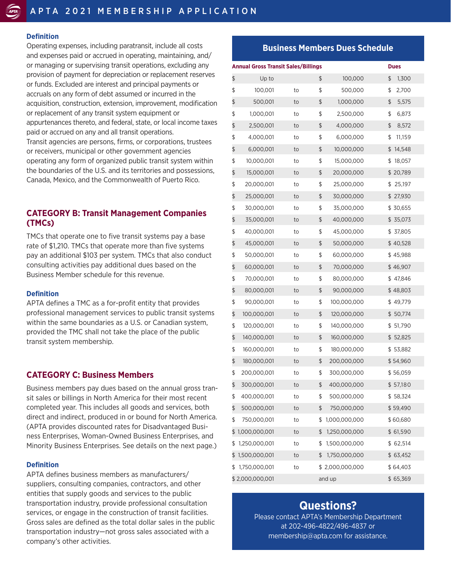#### **Definition**

Operating expenses, including paratransit, include all costs and expenses paid or accrued in operating, maintaining, and/ or managing or supervising transit operations, excluding any provision of payment for depreciation or replacement reserves or funds. Excluded are interest and principal payments or accruals on any form of debt assumed or incurred in the acquisition, construction, extension, improvement, modification or replacement of any transit system equipment or appurtenances thereto, and federal, state, or local income taxes paid or accrued on any and all transit operations. Transit agencies are persons, firms, or corporations, trustees or receivers, municipal or other government agencies operating any form of organized public transit system within the boundaries of the U.S. and its territories and possessions, Canada, Mexico, and the Commonwealth of Puerto Rico.

## **CATEGORY B: Transit Management Companies (TMCs)**

TMCs that operate one to five transit systems pay a base rate of \$1,210. TMCs that operate more than five systems pay an additional \$103 per system. TMCs that also conduct consulting activities pay additional dues based on the Business Member schedule for this revenue.

#### **Definition**

APTA defines a TMC as a for-profit entity that provides professional management services to public transit systems within the same boundaries as a U.S. or Canadian system, provided the TMC shall not take the place of the public transit system membership.

### **CATEGORY C: Business Members**

Business members pay dues based on the annual gross transit sales or billings in North America for their most recent completed year. This includes all goods and services, both direct and indirect, produced in or bound for North America. (APTA provides discounted rates for Disadvantaged Business Enterprises, Woman-Owned Business Enterprises, and Minority Business Enterprises. See details on the next page.)

#### **Definition**

APTA defines business members as manufacturers/ suppliers, consulting companies, contractors, and other entities that supply goods and services to the public transportation industry, provide professional consultation services, or engage in the construction of transit facilities. Gross sales are defined as the total dollar sales in the public transportation industry—not gross sales associated with a company's other activities.

### **Business Members Dues Schedule**

| <b>Annual Gross Transit Sales/Billings</b><br><b>Dues</b> |    |    |                 |              |  |  |
|-----------------------------------------------------------|----|----|-----------------|--------------|--|--|
| \$<br>Up to                                               |    | \$ | 100,000         | \$<br>1,300  |  |  |
| \$<br>100,001                                             | to | \$ | 500,000         | \$<br>2,700  |  |  |
| \$<br>500,001                                             | to | \$ | 1,000,000       | \$<br>5,575  |  |  |
| \$<br>1,000,001                                           | to | \$ | 2,500,000       | \$<br>6,873  |  |  |
| \$<br>2,500,001                                           | to | \$ | 4,000,000       | \$<br>8,572  |  |  |
| \$<br>4,000,001                                           | to | \$ | 6,000,000       | 11,159<br>\$ |  |  |
| \$<br>6,000,001                                           | to | \$ | 10,000,000      | \$14,548     |  |  |
| \$<br>10,000,001                                          | to | \$ | 15,000,000      | 18,057<br>\$ |  |  |
| \$<br>15,000,001                                          | to | \$ | 20,000,000      | \$20,789     |  |  |
| \$<br>20,000,001                                          | to | \$ | 25,000,000      | \$<br>25,197 |  |  |
| \$<br>25,000,001                                          | to | \$ | 30,000,000      | \$ 27,930    |  |  |
| \$<br>30,000,001                                          | to | \$ | 35,000,000      | \$30,655     |  |  |
| \$<br>35,000,001                                          | to | \$ | 40,000,000      | \$35,073     |  |  |
| \$<br>40,000,001                                          | to | \$ | 45,000,000      | \$37,805     |  |  |
| \$<br>45,000,001                                          | to | \$ | 50,000,000      | \$40,528     |  |  |
| \$<br>50,000,001                                          | to | \$ | 60,000,000      | \$45,988     |  |  |
| \$<br>60,000,001                                          | to | \$ | 70,000,000      | \$46,907     |  |  |
| \$<br>70,000,001                                          | to | \$ | 80,000,000      | \$47,846     |  |  |
| \$<br>80,000,001                                          | to | \$ | 90,000,000      | \$48,803     |  |  |
| \$<br>90,000,001                                          | to | \$ | 100,000,000     | \$49,779     |  |  |
| \$<br>100,000,001                                         | to | \$ | 120,000,000     | \$50,774     |  |  |
| \$<br>120,000,001                                         | to | \$ | 140,000,000     | \$ 51,790    |  |  |
| \$<br>140,000,001                                         | to | \$ | 160,000,000     | \$52,825     |  |  |
| \$<br>160,000,001                                         | to | \$ | 180,000,000     | \$53,882     |  |  |
| \$<br>180,000,001                                         | to | \$ | 200,000,000     | \$54,960     |  |  |
| \$<br>200,000,001                                         | to | \$ | 300,000,000     | \$ 56,059    |  |  |
| \$<br>300,000,001                                         | to | \$ | 400,000,000     | \$57,180     |  |  |
| \$<br>400,000,001                                         | to | \$ | 500,000,000     | \$58,324     |  |  |
| \$<br>500,000,001                                         | to | \$ | 750,000,000     | \$59,490     |  |  |
| \$<br>750,000,001                                         | to | \$ | 1,000,000,000   | \$60,680     |  |  |
| \$<br>1,000,000,001                                       | to | \$ | 1,250,000,000   | \$ 61,590    |  |  |
| \$<br>1,250,000,001                                       | to | \$ | 1,500,000,000   | \$62,514     |  |  |
| \$<br>1,500,000,001                                       | to | \$ | 1,750,000,000   | \$ 63,452    |  |  |
| \$<br>1,750,000,001                                       | to |    | \$2,000,000,000 | \$64,403     |  |  |
| \$2,000,000,001                                           |    |    | and up          | \$65,369     |  |  |

# **Questions?**

Please contact APTA's Membership Department at 202-496-4822/496-4837 or membership@apta.com for assistance.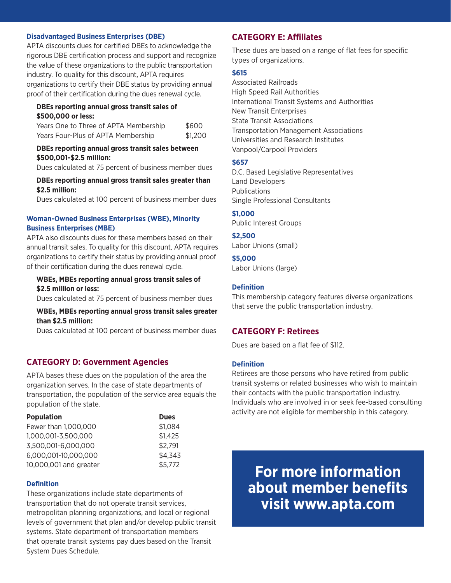#### **Disadvantaged Business Enterprises (DBE)**

APTA discounts dues for certified DBEs to acknowledge the rigorous DBE certification process and support and recognize the value of these organizations to the public transportation industry. To quality for this discount, APTA requires organizations to certify their DBE status by providing annual proof of their certification during the dues renewal cycle.

#### **DBEs reporting annual gross transit sales of \$500,000 or less:**

| Years One to Three of APTA Membership | \$600   |
|---------------------------------------|---------|
| Years Four-Plus of APTA Membership    | \$1,200 |

#### **DBEs reporting annual gross transit sales between \$500,001-\$2.5 million:**

Dues calculated at 75 percent of business member dues

#### **DBEs reporting annual gross transit sales greater than \$2.5 million:**

Dues calculated at 100 percent of business member dues

#### **Woman-Owned Business Enterprises (WBE), Minority Business Enterprises (MBE)**

APTA also discounts dues for these members based on their annual transit sales. To quality for this discount, APTA requires organizations to certify their status by providing annual proof of their certification during the dues renewal cycle.

#### **WBEs, MBEs reporting annual gross transit sales of \$2.5 million or less:**

Dues calculated at 75 percent of business member dues

### **WBEs, MBEs reporting annual gross transit sales greater than \$2.5 million:**

Dues calculated at 100 percent of business member dues

# **CATEGORY D: Government Agencies**

APTA bases these dues on the population of the area the organization serves. In the case of state departments of transportation, the population of the service area equals the population of the state.

| <b>Population</b>      | <b>Dues</b> |
|------------------------|-------------|
| Fewer than 1,000,000   | \$1,084     |
| 1,000,001-3,500,000    | \$1,425     |
| 3,500,001-6,000,000    | \$2,791     |
| 6,000,001-10,000,000   | \$4,343     |
| 10,000,001 and greater | \$5,772     |

#### **Definition**

These organizations include state departments of transportation that do not operate transit services, metropolitan planning organizations, and local or regional levels of government that plan and/or develop public transit systems. State department of transportation members that operate transit systems pay dues based on the Transit System Dues Schedule.

# **CATEGORY E: Affiliates**

These dues are based on a range of flat fees for specific types of organizations.

#### **\$615**

Associated Railroads High Speed Rail Authorities International Transit Systems and Authorities New Transit Enterprises State Transit Associations Transportation Management Associations Universities and Research Institutes Vanpool/Carpool Providers

#### **\$657**

D.C. Based Legislative Representatives Land Developers Publications Single Professional Consultants

#### **\$1,000**

Public Interest Groups

#### **\$2,500**

Labor Unions (small)

#### **\$5,000** Labor Unions (large)

# **Definition**

This membership category features diverse organizations that serve the public transportation industry.

# **CATEGORY F: Retirees**

Dues are based on a flat fee of \$112.

### **Definition**

Retirees are those persons who have retired from public transit systems or related businesses who wish to maintain their contacts with the public transportation industry. Individuals who are involved in or seek fee-based consulting activity are not eligible for membership in this category.

**For more information about member benefits visit www.apta.com**